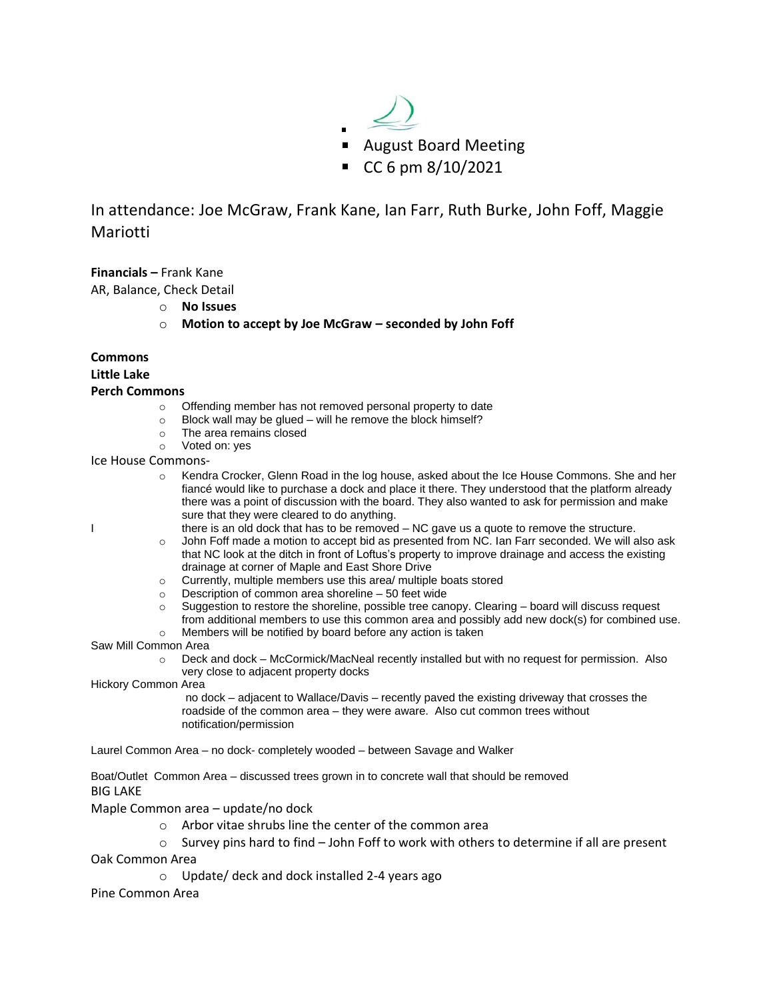

In attendance: Joe McGraw, Frank Kane, Ian Farr, Ruth Burke, John Foff, Maggie Mariotti

**Financials –** Frank Kane

AR, Balance, Check Detail

- o **No Issues**
- o **Motion to accept by Joe McGraw – seconded by John Foff**

# **Commons**

**Little Lake**

## **Perch Commons**

- o Offending member has not removed personal property to date
- $\circ$  Block wall may be glued will he remove the block himself?
- o The area remains closed<br>
o Voted on: ves
- Voted on: yes

Ice House Commons-

- o Kendra Crocker, Glenn Road in the log house, asked about the Ice House Commons. She and her fiancé would like to purchase a dock and place it there. They understood that the platform already there was a point of discussion with the board. They also wanted to ask for permission and make sure that they were cleared to do anything.
- I there is an old dock that has to be removed NC gave us a quote to remove the structure.
	- o John Foff made a motion to accept bid as presented from NC. Ian Farr seconded. We will also ask that NC look at the ditch in front of Loftus's property to improve drainage and access the existing drainage at corner of Maple and East Shore Drive
	- o Currently, multiple members use this area/ multiple boats stored
	- o Description of common area shoreline 50 feet wide
	- $\circ$  Suggestion to restore the shoreline, possible tree canopy. Clearing board will discuss request from additional members to use this common area and possibly add new dock(s) for combined use.
	- o Members will be notified by board before any action is taken

Saw Mill Common Area

o Deck and dock – McCormick/MacNeal recently installed but with no request for permission. Also very close to adjacent property docks

Hickory Common Area

no dock – adjacent to Wallace/Davis – recently paved the existing driveway that crosses the roadside of the common area – they were aware. Also cut common trees without notification/permission

Laurel Common Area – no dock- completely wooded – between Savage and Walker

Boat/Outlet Common Area – discussed trees grown in to concrete wall that should be removed BIG LAKE

Maple Common area – update/no dock

- o Arbor vitae shrubs line the center of the common area
- $\circ$  Survey pins hard to find John Foff to work with others to determine if all are present

Oak Common Area

o Update/ deck and dock installed 2-4 years ago

Pine Common Area

- 
-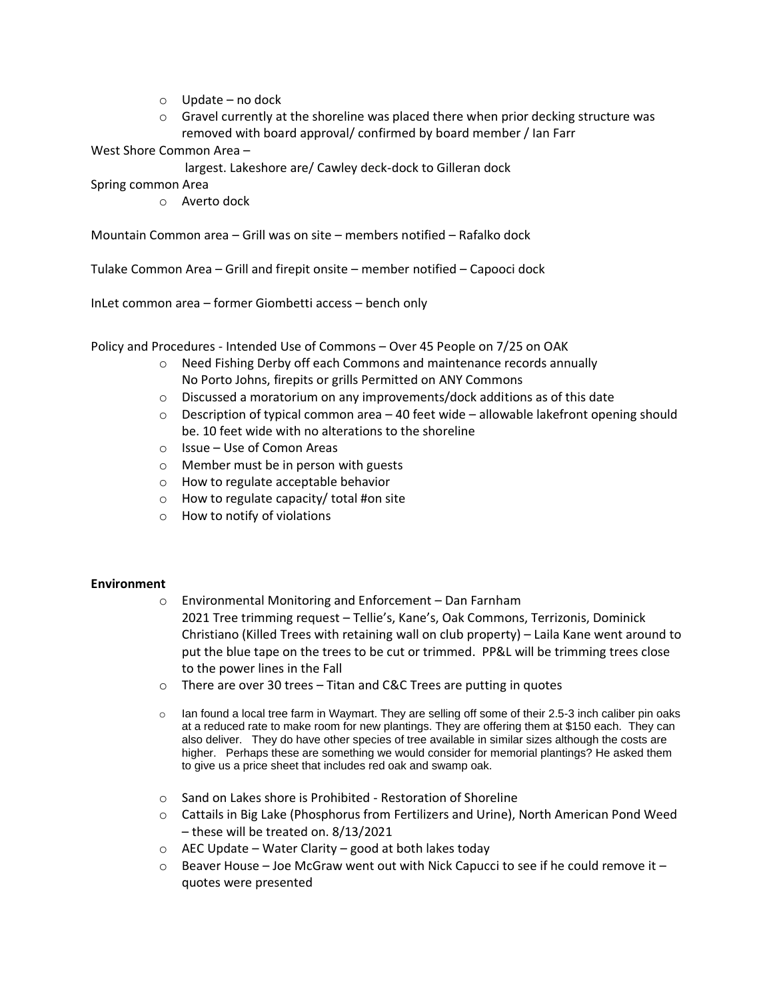- o Update no dock
- $\circ$  Gravel currently at the shoreline was placed there when prior decking structure was removed with board approval/ confirmed by board member / Ian Farr

West Shore Common Area –

largest. Lakeshore are/ Cawley deck-dock to Gilleran dock

Spring common Area

o Averto dock

Mountain Common area – Grill was on site – members notified – Rafalko dock

Tulake Common Area – Grill and firepit onsite – member notified – Capooci dock

InLet common area – former Giombetti access – bench only

Policy and Procedures - Intended Use of Commons – Over 45 People on 7/25 on OAK

- o Need Fishing Derby off each Commons and maintenance records annually No Porto Johns, firepits or grills Permitted on ANY Commons
- $\circ$  Discussed a moratorium on any improvements/dock additions as of this date
- $\circ$  Description of typical common area 40 feet wide allowable lakefront opening should be. 10 feet wide with no alterations to the shoreline
- o Issue Use of Comon Areas
- o Member must be in person with guests
- o How to regulate acceptable behavior
- o How to regulate capacity/ total #on site
- o How to notify of violations

# **Environment**

- o Environmental Monitoring and Enforcement Dan Farnham
	- 2021 Tree trimming request Tellie's, Kane's, Oak Commons, Terrizonis, Dominick Christiano (Killed Trees with retaining wall on club property) – Laila Kane went around to put the blue tape on the trees to be cut or trimmed. PP&L will be trimming trees close to the power lines in the Fall
- o There are over 30 trees Titan and C&C Trees are putting in quotes
- $\circ$  Ian found a local tree farm in Waymart. They are selling off some of their 2.5-3 inch caliber pin oaks at a reduced rate to make room for new plantings. They are offering them at \$150 each. They can also deliver. They do have other species of tree available in similar sizes although the costs are higher. Perhaps these are something we would consider for memorial plantings? He asked them to give us a price sheet that includes red oak and swamp oak.
- o Sand on Lakes shore is Prohibited Restoration of Shoreline
- o Cattails in Big Lake (Phosphorus from Fertilizers and Urine), North American Pond Weed – these will be treated on. 8/13/2021
- $\circ$  AEC Update Water Clarity good at both lakes today
- $\circ$  Beaver House Joe McGraw went out with Nick Capucci to see if he could remove it quotes were presented